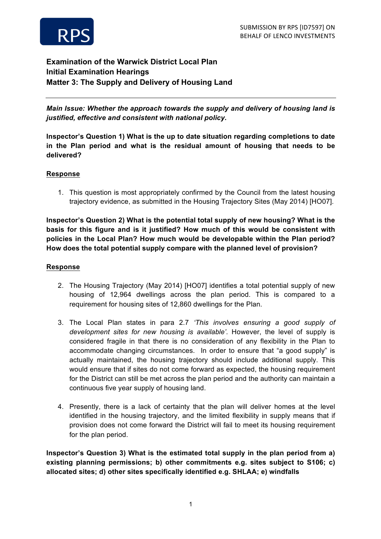

# **Examination of the Warwick District Local Plan Initial Examination Hearings Matter 3: The Supply and Delivery of Housing Land**

*Main Issue: Whether the approach towards the supply and delivery of housing land is justified, effective and consistent with national policy.*

**Inspector's Question 1) What is the up to date situation regarding completions to date in the Plan period and what is the residual amount of housing that needs to be delivered?** 

#### **Response**

1. This question is most appropriately confirmed by the Council from the latest housing trajectory evidence, as submitted in the Housing Trajectory Sites (May 2014) [HO07].

**Inspector's Question 2) What is the potential total supply of new housing? What is the basis for this figure and is it justified? How much of this would be consistent with policies in the Local Plan? How much would be developable within the Plan period? How does the total potential supply compare with the planned level of provision?**

#### **Response**

- 2. The Housing Trajectory (May 2014) [HO07] identifies a total potential supply of new housing of 12,964 dwellings across the plan period. This is compared to a requirement for housing sites of 12,860 dwellings for the Plan.
- 3. The Local Plan states in para 2.7 *'This involves ensuring a good supply of development sites for new housing is available'*. However, the level of supply is considered fragile in that there is no consideration of any flexibility in the Plan to accommodate changing circumstances. In order to ensure that "a good supply" is actually maintained, the housing trajectory should include additional supply. This would ensure that if sites do not come forward as expected, the housing requirement for the District can still be met across the plan period and the authority can maintain a continuous five year supply of housing land.
- 4. Presently, there is a lack of certainty that the plan will deliver homes at the level identified in the housing trajectory, and the limited flexibility in supply means that if provision does not come forward the District will fail to meet its housing requirement for the plan period.

**Inspector's Question 3) What is the estimated total supply in the plan period from a) existing planning permissions; b) other commitments e.g. sites subject to S106; c) allocated sites; d) other sites specifically identified e.g. SHLAA; e) windfalls**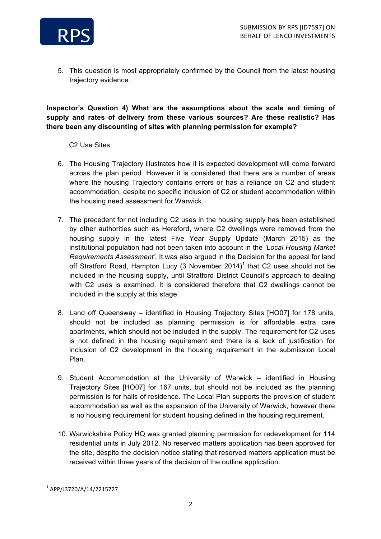

5. This question is most appropriately confirmed by the Council from the latest housing trajectory evidence.

**Inspector's Question 4) What are the assumptions about the scale and timing of supply and rates of delivery from these various sources? Are these realistic? Has there been any discounting of sites with planning permission for example?** 

#### C2 Use Sites

- 6. The Housing Trajectory illustrates how it is expected development will come forward across the plan period. However it is considered that there are a number of areas where the housing Trajectory contains errors or has a reliance on C2 and student accommodation, despite no specific inclusion of C2 or student accommodation within the housing need assessment for Warwick.
- 7. The precedent for not including C2 uses in the housing supply has been established by other authorities such as Hereford, where C2 dwellings were removed from the housing supply in the latest Five Year Supply Update (March 2015) as the institutional population had not been taken into account in the *'Local Housing Market Requirements Assessment'.* It was also argued in the Decision for the appeal for land off Stratford Road, Hampton Lucy (3 November 2014)<sup>1</sup> that C2 uses should not be included in the housing supply, until Stratford District Council's approach to dealing with C2 uses is examined. It is considered therefore that C2 dwellings cannot be included in the supply at this stage.
- 8. Land off Queensway identified in Housing Trajectory Sites [HO07] for 178 units, should not be included as planning permission is for affordable extra care apartments, which should not be included in the supply. The requirement for C2 uses is not defined in the housing requirement and there is a lack of justification for inclusion of C2 development in the housing requirement in the submission Local Plan.
- 9. Student Accommodation at the University of Warwick identified in Housing Trajectory Sites [HO07] for 167 units, but should not be included as the planning permission is for halls of residence. The Local Plan supports the provision of student accommodation as well as the expansion of the University of Warwick, however there is no housing requirement for student housing defined in the housing requirement.
- 10. Warwickshire Policy HQ was granted planning permission for redevelopment for 114 residential units in July 2012. No reserved matters application has been approved for the site, despite the decision notice stating that reserved matters application must be received within three years of the decision of the outline application.

<sup>&</sup>lt;u> 1989 - Jan Samuel Barbara, margaret e</u> <sup>1</sup> APP/J3720/A/14/2215727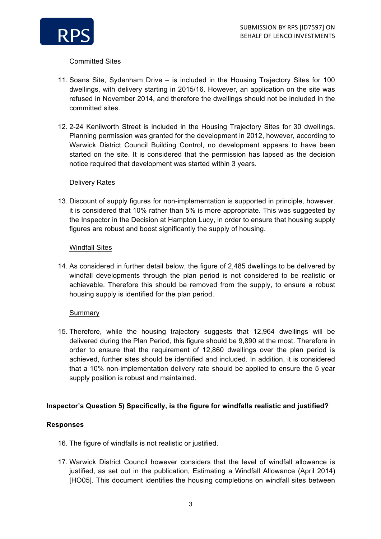

# Committed Sites

- 11. Soans Site, Sydenham Drive is included in the Housing Trajectory Sites for 100 dwellings, with delivery starting in 2015/16. However, an application on the site was refused in November 2014, and therefore the dwellings should not be included in the committed sites.
- 12. 2-24 Kenilworth Street is included in the Housing Trajectory Sites for 30 dwellings. Planning permission was granted for the development in 2012, however, according to Warwick District Council Building Control, no development appears to have been started on the site. It is considered that the permission has lapsed as the decision notice required that development was started within 3 years.

#### Delivery Rates

13. Discount of supply figures for non-implementation is supported in principle, however, it is considered that 10% rather than 5% is more appropriate. This was suggested by the Inspector in the Decision at Hampton Lucy, in order to ensure that housing supply figures are robust and boost significantly the supply of housing.

#### Windfall Sites

14. As considered in further detail below, the figure of 2,485 dwellings to be delivered by windfall developments through the plan period is not considered to be realistic or achievable. Therefore this should be removed from the supply, to ensure a robust housing supply is identified for the plan period.

# Summary

15. Therefore, while the housing trajectory suggests that 12,964 dwellings will be delivered during the Plan Period, this figure should be 9,890 at the most. Therefore in order to ensure that the requirement of 12,860 dwellings over the plan period is achieved, further sites should be identified and included. In addition, it is considered that a 10% non-implementation delivery rate should be applied to ensure the 5 year supply position is robust and maintained.

# **Inspector's Question 5) Specifically, is the figure for windfalls realistic and justified?**

# **Responses**

- 16. The figure of windfalls is not realistic or justified.
- 17. Warwick District Council however considers that the level of windfall allowance is justified, as set out in the publication, Estimating a Windfall Allowance (April 2014) [HO05]. This document identifies the housing completions on windfall sites between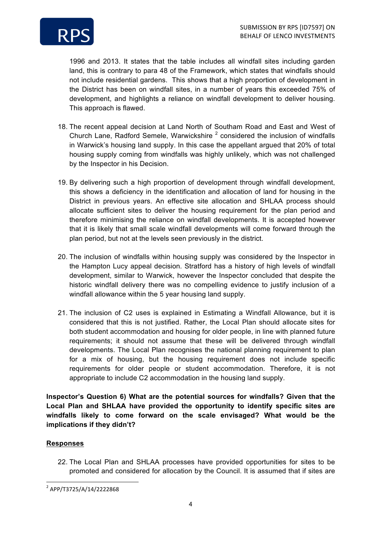

1996 and 2013. It states that the table includes all windfall sites including garden land, this is contrary to para 48 of the Framework, which states that windfalls should not include residential gardens. This shows that a high proportion of development in the District has been on windfall sites, in a number of years this exceeded 75% of development, and highlights a reliance on windfall development to deliver housing. This approach is flawed.

- 18. The recent appeal decision at Land North of Southam Road and East and West of Church Lane, Radford Semele, Warwickshire  $2$  considered the inclusion of windfalls in Warwick's housing land supply. In this case the appellant argued that 20% of total housing supply coming from windfalls was highly unlikely, which was not challenged by the Inspector in his Decision.
- 19. By delivering such a high proportion of development through windfall development, this shows a deficiency in the identification and allocation of land for housing in the District in previous years. An effective site allocation and SHLAA process should allocate sufficient sites to deliver the housing requirement for the plan period and therefore minimising the reliance on windfall developments. It is accepted however that it is likely that small scale windfall developments will come forward through the plan period, but not at the levels seen previously in the district.
- 20. The inclusion of windfalls within housing supply was considered by the Inspector in the Hampton Lucy appeal decision. Stratford has a history of high levels of windfall development, similar to Warwick, however the Inspector concluded that despite the historic windfall delivery there was no compelling evidence to justify inclusion of a windfall allowance within the 5 year housing land supply.
- 21. The inclusion of C2 uses is explained in Estimating a Windfall Allowance, but it is considered that this is not justified. Rather, the Local Plan should allocate sites for both student accommodation and housing for older people, in line with planned future requirements; it should not assume that these will be delivered through windfall developments. The Local Plan recognises the national planning requirement to plan for a mix of housing, but the housing requirement does not include specific requirements for older people or student accommodation. Therefore, it is not appropriate to include C2 accommodation in the housing land supply.

**Inspector's Question 6) What are the potential sources for windfalls? Given that the Local Plan and SHLAA have provided the opportunity to identify specific sites are windfalls likely to come forward on the scale envisaged? What would be the implications if they didn't?**

# **Responses**

22. The Local Plan and SHLAA processes have provided opportunities for sites to be promoted and considered for allocation by the Council. It is assumed that if sites are

<u> 1989 - Jan Samuel Barbara, margaret e</u>

<sup>2</sup> APP/T3725/A/14/2222868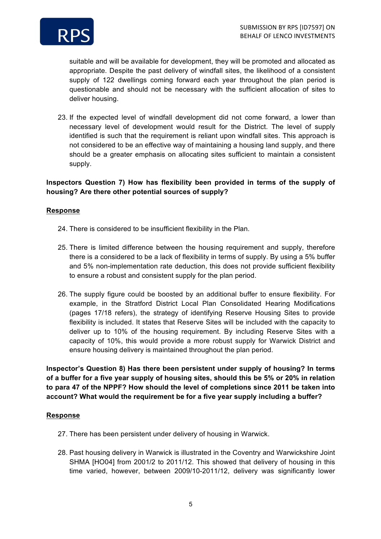

suitable and will be available for development, they will be promoted and allocated as appropriate. Despite the past delivery of windfall sites, the likelihood of a consistent supply of 122 dwellings coming forward each year throughout the plan period is questionable and should not be necessary with the sufficient allocation of sites to deliver housing.

23. If the expected level of windfall development did not come forward, a lower than necessary level of development would result for the District. The level of supply identified is such that the requirement is reliant upon windfall sites. This approach is not considered to be an effective way of maintaining a housing land supply, and there should be a greater emphasis on allocating sites sufficient to maintain a consistent supply.

### **Inspectors Question 7) How has flexibility been provided in terms of the supply of housing? Are there other potential sources of supply?**

#### **Response**

- 24. There is considered to be insufficient flexibility in the Plan.
- 25. There is limited difference between the housing requirement and supply, therefore there is a considered to be a lack of flexibility in terms of supply. By using a 5% buffer and 5% non-implementation rate deduction, this does not provide sufficient flexibility to ensure a robust and consistent supply for the plan period.
- 26. The supply figure could be boosted by an additional buffer to ensure flexibility. For example, in the Stratford District Local Plan Consolidated Hearing Modifications (pages 17/18 refers), the strategy of identifying Reserve Housing Sites to provide flexibility is included. It states that Reserve Sites will be included with the capacity to deliver up to 10% of the housing requirement. By including Reserve Sites with a capacity of 10%, this would provide a more robust supply for Warwick District and ensure housing delivery is maintained throughout the plan period.

**Inspector's Question 8) Has there been persistent under supply of housing? In terms of a buffer for a five year supply of housing sites, should this be 5% or 20% in relation to para 47 of the NPPF? How should the level of completions since 2011 be taken into account? What would the requirement be for a five year supply including a buffer?**

#### **Response**

- 27. There has been persistent under delivery of housing in Warwick.
- 28. Past housing delivery in Warwick is illustrated in the Coventry and Warwickshire Joint SHMA [HO04] from 2001/2 to 2011/12. This showed that delivery of housing in this time varied, however, between 2009/10-2011/12, delivery was significantly lower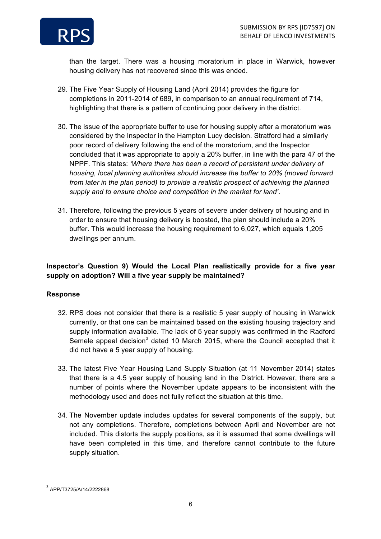

than the target. There was a housing moratorium in place in Warwick, however housing delivery has not recovered since this was ended.

- 29. The Five Year Supply of Housing Land (April 2014) provides the figure for completions in 2011-2014 of 689, in comparison to an annual requirement of 714, highlighting that there is a pattern of continuing poor delivery in the district.
- 30. The issue of the appropriate buffer to use for housing supply after a moratorium was considered by the Inspector in the Hampton Lucy decision. Stratford had a similarly poor record of delivery following the end of the moratorium, and the Inspector concluded that it was appropriate to apply a 20% buffer, in line with the para 47 of the NPPF. This states: *'Where there has been a record of persistent under delivery of housing, local planning authorities should increase the buffer to 20% (moved forward from later in the plan period) to provide a realistic prospect of achieving the planned supply and to ensure choice and competition in the market for land'*.
- 31. Therefore, following the previous 5 years of severe under delivery of housing and in order to ensure that housing delivery is boosted, the plan should include a 20% buffer. This would increase the housing requirement to 6,027, which equals 1,205 dwellings per annum.

# **Inspector's Question 9) Would the Local Plan realistically provide for a five year supply on adoption? Will a five year supply be maintained?**

# **Response**

- 32. RPS does not consider that there is a realistic 5 year supply of housing in Warwick currently, or that one can be maintained based on the existing housing trajectory and supply information available. The lack of 5 year supply was confirmed in the Radford Semele appeal decision<sup>3</sup> dated 10 March 2015, where the Council accepted that it did not have a 5 year supply of housing.
- 33. The latest Five Year Housing Land Supply Situation (at 11 November 2014) states that there is a 4.5 year supply of housing land in the District. However, there are a number of points where the November update appears to be inconsistent with the methodology used and does not fully reflect the situation at this time.
- 34. The November update includes updates for several components of the supply, but not any completions. Therefore, completions between April and November are not included. This distorts the supply positions, as it is assumed that some dwellings will have been completed in this time, and therefore cannot contribute to the future supply situation.

<u> 1989 - Jan Samuel Barbara, margaret e</u>

<sup>3</sup> APP/T3725/A/14/2222868